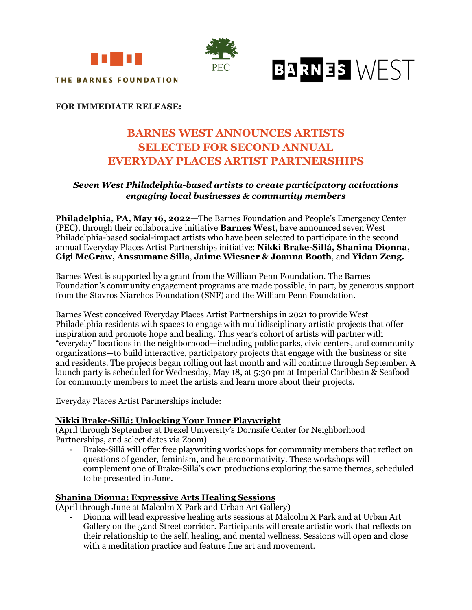



# BARNES WEST

# **FOR IMMEDIATE RELEASE:**

# **BARNES WEST ANNOUNCES ARTISTS SELECTED FOR SECOND ANNUAL EVERYDAY PLACES ARTIST PARTNERSHIPS**

# *Seven West Philadelphia-based artists to create participatory activations engaging local businesses & community members*

**Philadelphia, PA, May 16, 2022—**The Barnes Foundation and People's Emergency Center (PEC), through their collaborative initiative **Barnes West**, have announced seven West Philadelphia-based social-impact artists who have been selected to participate in the second annual Everyday Places Artist Partnerships initiative: **Nikki Brake-Sillá, Shanina Dionna, Gigi McGraw, Anssumane Silla**, **Jaime Wiesner & Joanna Booth**, and **Yidan Zeng.** 

Barnes West is supported by a grant from the William Penn Foundation. The Barnes Foundation's community engagement programs are made possible, in part, by generous support from the Stavros Niarchos Foundation (SNF) and the William Penn Foundation.

Barnes West conceived Everyday Places Artist Partnerships in 2021 to provide West Philadelphia residents with spaces to engage with multidisciplinary artistic projects that offer inspiration and promote hope and healing. This year's cohort of artists will partner with "everyday" locations in the neighborhood—including public parks, civic centers, and community organizations—to build interactive, participatory projects that engage with the business or site and residents. The projects began rolling out last month and will continue through September. A launch party is scheduled for Wednesday, May 18, at 5:30 pm at Imperial Caribbean & Seafood for community members to meet the artists and learn more about their projects.

Everyday Places Artist Partnerships include:

# **Nikki Brake-Sillá: Unlocking Your Inner Playwright**

(April through September at Drexel University's Dornsife Center for Neighborhood Partnerships, and select dates via Zoom)

- Brake-Sillá will offer free playwriting workshops for community members that reflect on questions of gender, feminism, and heteronormativity. These workshops will complement one of Brake-Sillá's own productions exploring the same themes, scheduled to be presented in June.

# **Shanina Dionna: Expressive Arts Healing Sessions**

(April through June at Malcolm X Park and Urban Art Gallery)

- Dionna will lead expressive healing arts sessions at Malcolm X Park and at Urban Art Gallery on the 52nd Street corridor. Participants will create artistic work that reflects on their relationship to the self, healing, and mental wellness. Sessions will open and close with a meditation practice and feature fine art and movement.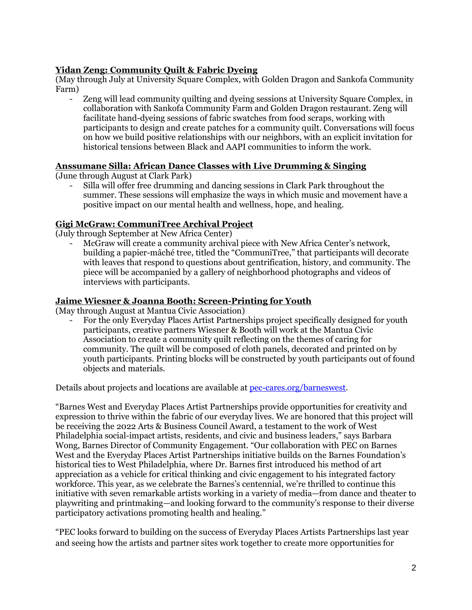# **Yidan Zeng: Community Quilt & Fabric Dyeing**

(May through July at University Square Complex, with Golden Dragon and Sankofa Community Farm)

- Zeng will lead community quilting and dyeing sessions at University Square Complex, in collaboration with Sankofa Community Farm and Golden Dragon restaurant. Zeng will facilitate hand-dyeing sessions of fabric swatches from food scraps, working with participants to design and create patches for a community quilt. Conversations will focus on how we build positive relationships with our neighbors, with an explicit invitation for historical tensions between Black and AAPI communities to inform the work.

# **Anssumane Silla: African Dance Classes with Live Drumming & Singing**

(June through August at Clark Park)

- Silla will offer free drumming and dancing sessions in Clark Park throughout the summer. These sessions will emphasize the ways in which music and movement have a positive impact on our mental health and wellness, hope, and healing.

# **Gigi McGraw: CommuniTree Archival Project**

(July through September at New Africa Center)

McGraw will create a community archival piece with New Africa Center's network, building a papier-mâché tree, titled the "CommuniTree," that participants will decorate with leaves that respond to questions about gentrification, history, and community. The piece will be accompanied by a gallery of neighborhood photographs and videos of interviews with participants.

#### **Jaime Wiesner & Joanna Booth: Screen-Printing for Youth**

(May through August at Mantua Civic Association)

- For the only Everyday Places Artist Partnerships project specifically designed for youth participants, creative partners Wiesner & Booth will work at the Mantua Civic Association to create a community quilt reflecting on the themes of caring for community. The quilt will be composed of cloth panels, decorated and printed on by youth participants. Printing blocks will be constructed by youth participants out of found objects and materials.

Details about projects and locations are available at [pec-cares.org/barneswest.](https://www.pec-cares.org/barneswest.html)

"Barnes West and Everyday Places Artist Partnerships provide opportunities for creativity and expression to thrive within the fabric of our everyday lives. We are honored that this project will be receiving the 2022 Arts & Business Council Award, a testament to the work of West Philadelphia social-impact artists, residents, and civic and business leaders," says Barbara Wong, Barnes Director of Community Engagement. "Our collaboration with PEC on Barnes West and the Everyday Places Artist Partnerships initiative builds on the Barnes Foundation's historical ties to West Philadelphia, where Dr. Barnes first introduced his method of art appreciation as a vehicle for critical thinking and civic engagement to his integrated factory workforce. This year, as we celebrate the Barnes's centennial, we're thrilled to continue this initiative with seven remarkable artists working in a variety of media—from dance and theater to playwriting and printmaking—and looking forward to the community's response to their diverse participatory activations promoting health and healing."

"PEC looks forward to building on the success of Everyday Places Artists Partnerships last year and seeing how the artists and partner sites work together to create more opportunities for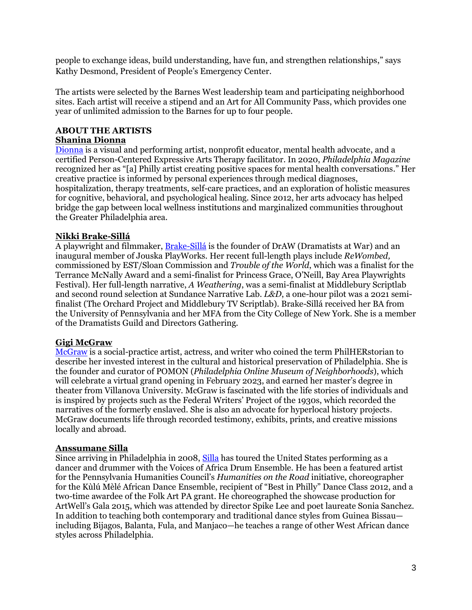people to exchange ideas, build understanding, have fun, and strengthen relationships," says Kathy Desmond, President of People's Emergency Center.

The artists were selected by the Barnes West leadership team and participating neighborhood sites. Each artist will receive a stipend and an Art for All Community Pass, which provides one year of unlimited admission to the Barnes for up to four people.

#### **ABOUT THE ARTISTS Shanina Dionna**

[Dionna](https://www.shaninadionna.com/) is a visual and performing artist, nonprofit educator, mental health advocate, and a certified Person-Centered Expressive Arts Therapy facilitator. In 2020, *Philadelphia Magazine* recognized her as "[a] Philly artist creating positive spaces for mental health conversations." Her creative practice is informed by personal experiences through medical diagnoses, hospitalization, therapy treatments, self-care practices, and an exploration of holistic measures for cognitive, behavioral, and psychological healing. Since 2012, her arts advocacy has helped bridge the gap between local wellness institutions and marginalized communities throughout the Greater Philadelphia area.

#### **Nikki Brake-Sillá**

A playwright and filmmaker, [Brake-Sillá](https://ginifilms.com/) is the founder of DrAW (Dramatists at War) and an inaugural member of Jouska PlayWorks. Her recent full-length plays include *ReWombed,*  commissioned by EST/Sloan Commission and *Trouble of the World*, which was a finalist for the Terrance McNally Award and a semi-finalist for Princess Grace, O'Neill, Bay Area Playwrights Festival). Her full-length narrative, *A Weathering*, was a semi-finalist at Middlebury Scriptlab and second round selection at Sundance Narrative Lab. *L&D*, a one-hour pilot was a 2021 semifinalist (The Orchard Project and Middlebury TV Scriptlab). Brake-Sillá received her BA from the University of Pennsylvania and her MFA from the City College of New York. She is a member of the Dramatists Guild and Directors Gathering.

# **Gigi McGraw**

[McGraw](https://1cupofcoffeeconversationbooksprojects.wordpress.com/) is a social-practice artist, actress, and writer who coined the term PhilHERstorian to describe her invested interest in the cultural and historical preservation of Philadelphia. She is the founder and curator of POMON (*Philadelphia Online Museum of Neighborhoods*), which will celebrate a virtual grand opening in February 2023, and earned her master's degree in theater from Villanova University. McGraw is fascinated with the life stories of individuals and is inspired by projects such as the Federal Writers' Project of the 1930s, which recorded the narratives of the formerly enslaved. She is also an advocate for hyperlocal history projects. McGraw documents life through recorded testimony, exhibits, prints, and creative missions locally and abroad.

# **Anssumane Silla**

Since arriving in Philadelphia in 2008, [Silla](https://www.folkloreproject.org/artists/anssumane-silla) has toured the United States performing as a dancer and drummer with the Voices of Africa Drum Ensemble. He has been a featured artist for the Pennsylvania Humanities Council's *Humanities on the Road* initiative, choreographer for the Kùlú Mèlé African Dance Ensemble, recipient of "Best in Philly" Dance Class 2012, and a two-time awardee of the Folk Art PA grant. He choreographed the showcase production for ArtWell's Gala 2015, which was attended by director Spike Lee and poet laureate Sonia Sanchez. In addition to teaching both contemporary and traditional dance styles from Guinea Bissau including Bijagos, Balanta, Fula, and Manjaco—he teaches a range of other West African dance styles across Philadelphia.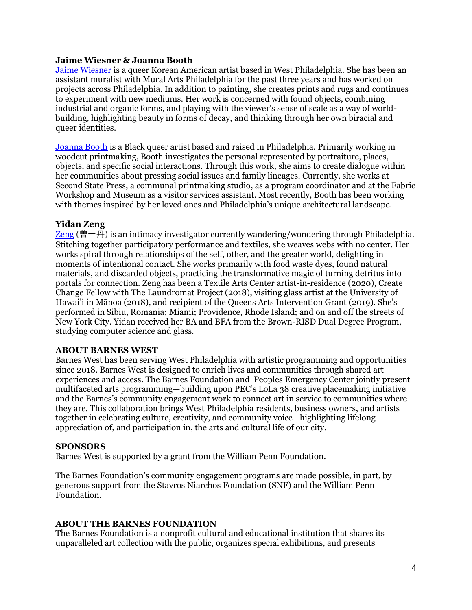#### **Jaime Wiesner & Joanna Booth**

[Jaime Wiesner](https://www.instagram.com/art.jkw/) is a queer Korean American artist based in West Philadelphia. She has been an assistant muralist with Mural Arts Philadelphia for the past three years and has worked on projects across Philadelphia. In addition to painting, she creates prints and rugs and continues to experiment with new mediums. Her work is concerned with found objects, combining industrial and organic forms, and playing with the viewer's sense of scale as a way of worldbuilding, highlighting beauty in forms of decay, and thinking through her own biracial and queer identities.

[Joanna Booth](https://joannabooth.myportfolio.com/work) is a Black queer artist based and raised in Philadelphia. Primarily working in woodcut printmaking, Booth investigates the personal represented by portraiture, places, objects, and specific social interactions. Through this work, she aims to create dialogue within her communities about pressing social issues and family lineages. Currently, she works at Second State Press, a communal printmaking studio, as a program coordinator and at the Fabric Workshop and Museum as a visitor services assistant. Most recently, Booth has been working with themes inspired by her loved ones and Philadelphia's unique architectural landscape.

#### **Yidan Zeng**

[Zeng](https://www.yidanzeng.com/) (曽一丹) is an intimacy investigator currently wandering/wondering through Philadelphia. Stitching together participatory performance and textiles, she weaves webs with no center. Her works spiral through relationships of the self, other, and the greater world, delighting in moments of intentional contact. She works primarily with food waste dyes, found natural materials, and discarded objects, practicing the transformative magic of turning detritus into portals for connection. Zeng has been a Textile Arts Center artist-in-residence (2020), Create Change Fellow with The Laundromat Project (2018), visiting glass artist at the University of Hawai'i in Mānoa (2018), and recipient of the Queens Arts Intervention Grant (2019). She's performed in Sibiu, Romania; Miami; Providence, Rhode Island; and on and off the streets of New York City. Yidan received her BA and BFA from the Brown-RISD Dual Degree Program, studying computer science and glass.

#### **ABOUT BARNES WEST**

Barnes West has been serving West Philadelphia with artistic programming and opportunities since 2018. Barnes West is designed to enrich lives and communities through shared art experiences and access. The Barnes Foundation and Peoples Emergency Center jointly present multifaceted arts programming—building upon PEC's LoLa 38 creative placemaking initiative and the Barnes's community engagement work to connect art in service to communities where they are. This collaboration brings West Philadelphia residents, business owners, and artists together in celebrating culture, creativity, and community voice—highlighting lifelong appreciation of, and participation in, the arts and cultural life of our city.

#### **SPONSORS**

Barnes West is supported by a grant from the William Penn Foundation.

The Barnes Foundation's community engagement programs are made possible, in part, by generous support from the Stavros Niarchos Foundation (SNF) and the William Penn Foundation.

#### **ABOUT THE BARNES FOUNDATION**

The Barnes Foundation is a nonprofit cultural and educational institution that shares its unparalleled art collection with the public, organizes special exhibitions, and presents